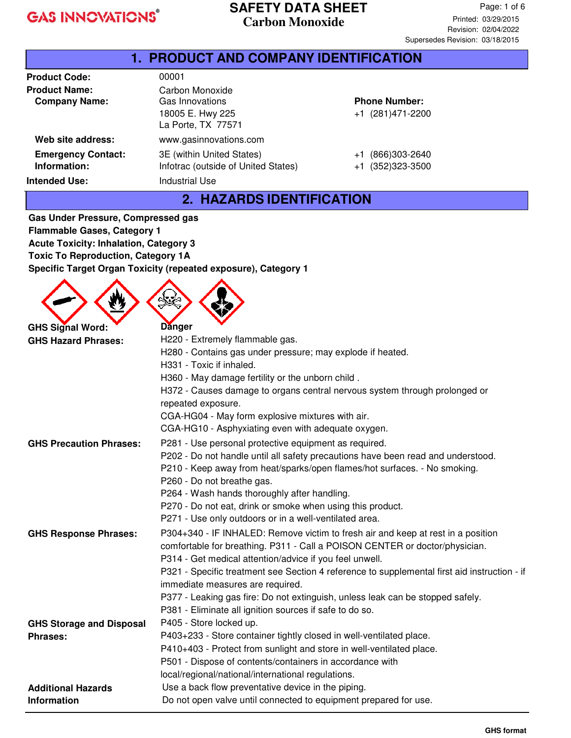#### **SAFETY DATA SHEET Carbon Monoxide**

| 1. PRODUCT AND COMPANY IDENTIFICATION                             |                                                                                    |                                          |  |
|-------------------------------------------------------------------|------------------------------------------------------------------------------------|------------------------------------------|--|
| <b>Product Code:</b>                                              | 00001                                                                              |                                          |  |
| <b>Product Name:</b><br><b>Company Name:</b>                      | Carbon Monoxide<br>Gas Innovations<br>18005 E. Hwy 225<br>La Porte, TX 77571       | <b>Phone Number:</b><br>+1 (281)471-2200 |  |
| Web site address:                                                 | www.gasinnovations.com                                                             |                                          |  |
| <b>Emergency Contact:</b><br>Information:<br><b>Intended Use:</b> | 3E (within United States)<br>Infotrac (outside of United States)<br>Industrial Use | (866)303-2640<br>+1<br>+1 (352)323-3500  |  |

#### **2. HAZARDS IDENTIFICATION**

**Gas Under Pressure, Compressed gas Flammable Gases, Category 1 Acute Toxicity: Inhalation, Category 3 Toxic To Reproduction, Category 1A Specific Target Organ Toxicity (repeated exposure), Category 1**

 $\wedge \wedge \wedge$ 

| <b>GHS Signal Word:</b>         | <b>Danger</b>                                                                                                                    |  |  |
|---------------------------------|----------------------------------------------------------------------------------------------------------------------------------|--|--|
| <b>GHS Hazard Phrases:</b>      | H220 - Extremely flammable gas.                                                                                                  |  |  |
|                                 | H280 - Contains gas under pressure; may explode if heated.                                                                       |  |  |
|                                 | H331 - Toxic if inhaled.                                                                                                         |  |  |
|                                 | H360 - May damage fertility or the unborn child.                                                                                 |  |  |
|                                 | H372 - Causes damage to organs central nervous system through prolonged or<br>repeated exposure.                                 |  |  |
|                                 | CGA-HG04 - May form explosive mixtures with air.                                                                                 |  |  |
|                                 | CGA-HG10 - Asphyxiating even with adequate oxygen.                                                                               |  |  |
| <b>GHS Precaution Phrases:</b>  | P281 - Use personal protective equipment as required.                                                                            |  |  |
|                                 | P202 - Do not handle until all safety precautions have been read and understood.                                                 |  |  |
|                                 | P210 - Keep away from heat/sparks/open flames/hot surfaces. - No smoking.                                                        |  |  |
|                                 | P260 - Do not breathe gas.                                                                                                       |  |  |
|                                 | P264 - Wash hands thoroughly after handling.                                                                                     |  |  |
|                                 | P270 - Do not eat, drink or smoke when using this product.                                                                       |  |  |
|                                 | P271 - Use only outdoors or in a well-ventilated area.                                                                           |  |  |
| <b>GHS Response Phrases:</b>    | P304+340 - IF INHALED: Remove victim to fresh air and keep at rest in a position                                                 |  |  |
|                                 | comfortable for breathing. P311 - Call a POISON CENTER or doctor/physician.                                                      |  |  |
|                                 | P314 - Get medical attention/advice if you feel unwell.                                                                          |  |  |
|                                 | P321 - Specific treatment see Section 4 reference to supplemental first aid instruction - if<br>immediate measures are required. |  |  |
|                                 | P377 - Leaking gas fire: Do not extinguish, unless leak can be stopped safely.                                                   |  |  |
|                                 | P381 - Eliminate all ignition sources if safe to do so.                                                                          |  |  |
| <b>GHS Storage and Disposal</b> | P405 - Store locked up.                                                                                                          |  |  |
| <b>Phrases:</b>                 | P403+233 - Store container tightly closed in well-ventilated place.                                                              |  |  |
|                                 | P410+403 - Protect from sunlight and store in well-ventilated place.                                                             |  |  |
|                                 | P501 - Dispose of contents/containers in accordance with                                                                         |  |  |
|                                 | local/regional/national/international regulations.                                                                               |  |  |
| <b>Additional Hazards</b>       | Use a back flow preventative device in the piping.                                                                               |  |  |
| <b>Information</b>              | Do not open valve until connected to equipment prepared for use.                                                                 |  |  |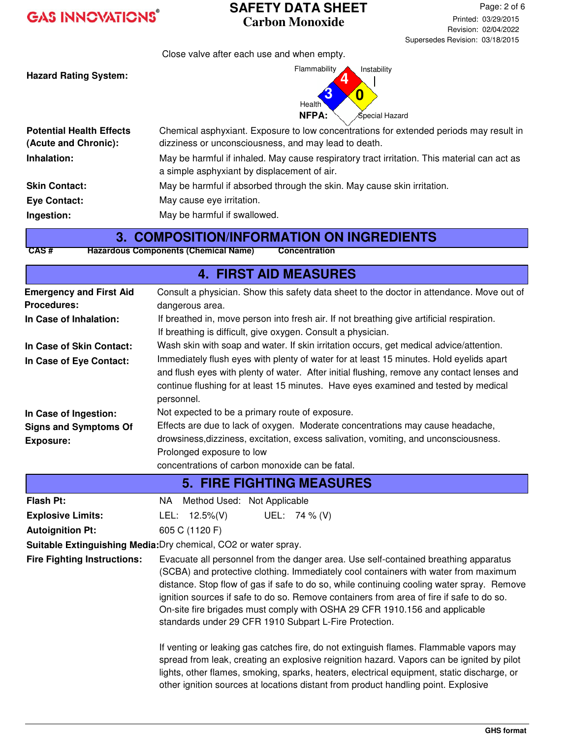#### **SAFETY DATA SHEET Carbon Monoxide**

Close valve after each use and when empty.

**Hazard Rating System:**



| <b>Potential Health Effects</b><br>(Acute and Chronic): | $\sim$ $\sim$ $\sim$<br>Chemical asphyxiant. Exposure to low concentrations for extended periods may result in<br>dizziness or unconsciousness, and may lead to death. |
|---------------------------------------------------------|------------------------------------------------------------------------------------------------------------------------------------------------------------------------|
| Inhalation:                                             | May be harmful if inhaled. May cause respiratory tract irritation. This material can act as<br>a simple asphyxiant by displacement of air.                             |
| <b>Skin Contact:</b>                                    | May be harmful if absorbed through the skin. May cause skin irritation.                                                                                                |
| <b>Eye Contact:</b>                                     | May cause eye irritation.                                                                                                                                              |
| Ingestion:                                              | May be harmful if swallowed.                                                                                                                                           |

#### **3. COMPOSITION/INFORMATION ON INGREDIENTS**

**CAS # Hazardous Components (Chemical Name) Concentration**

| <b>4. FIRST AID MEASURES</b>                                    |                                                                                                                                                                                                                                                                                                                                                                                                                                                                                                             |  |  |  |
|-----------------------------------------------------------------|-------------------------------------------------------------------------------------------------------------------------------------------------------------------------------------------------------------------------------------------------------------------------------------------------------------------------------------------------------------------------------------------------------------------------------------------------------------------------------------------------------------|--|--|--|
| <b>Emergency and First Aid</b>                                  | Consult a physician. Show this safety data sheet to the doctor in attendance. Move out of                                                                                                                                                                                                                                                                                                                                                                                                                   |  |  |  |
| <b>Procedures:</b><br>In Case of Inhalation:                    | dangerous area.<br>If breathed in, move person into fresh air. If not breathing give artificial respiration.                                                                                                                                                                                                                                                                                                                                                                                                |  |  |  |
|                                                                 | If breathing is difficult, give oxygen. Consult a physician.                                                                                                                                                                                                                                                                                                                                                                                                                                                |  |  |  |
| In Case of Skin Contact:                                        | Wash skin with soap and water. If skin irritation occurs, get medical advice/attention.                                                                                                                                                                                                                                                                                                                                                                                                                     |  |  |  |
| In Case of Eye Contact:                                         | Immediately flush eyes with plenty of water for at least 15 minutes. Hold eyelids apart                                                                                                                                                                                                                                                                                                                                                                                                                     |  |  |  |
|                                                                 | and flush eyes with plenty of water. After initial flushing, remove any contact lenses and                                                                                                                                                                                                                                                                                                                                                                                                                  |  |  |  |
|                                                                 | continue flushing for at least 15 minutes. Have eyes examined and tested by medical                                                                                                                                                                                                                                                                                                                                                                                                                         |  |  |  |
|                                                                 | personnel.                                                                                                                                                                                                                                                                                                                                                                                                                                                                                                  |  |  |  |
| In Case of Ingestion:                                           | Not expected to be a primary route of exposure.                                                                                                                                                                                                                                                                                                                                                                                                                                                             |  |  |  |
| <b>Signs and Symptoms Of</b>                                    | Effects are due to lack of oxygen. Moderate concentrations may cause headache,                                                                                                                                                                                                                                                                                                                                                                                                                              |  |  |  |
| <b>Exposure:</b>                                                | drowsiness, dizziness, excitation, excess salivation, vomiting, and unconsciousness.                                                                                                                                                                                                                                                                                                                                                                                                                        |  |  |  |
|                                                                 | Prolonged exposure to low                                                                                                                                                                                                                                                                                                                                                                                                                                                                                   |  |  |  |
|                                                                 | concentrations of carbon monoxide can be fatal.                                                                                                                                                                                                                                                                                                                                                                                                                                                             |  |  |  |
| <b>5. FIRE FIGHTING MEASURES</b>                                |                                                                                                                                                                                                                                                                                                                                                                                                                                                                                                             |  |  |  |
| <b>Flash Pt:</b>                                                | NA Method Used: Not Applicable                                                                                                                                                                                                                                                                                                                                                                                                                                                                              |  |  |  |
| <b>Explosive Limits:</b>                                        | UEL: 74 % (V)<br>LEL: $12.5\%(V)$                                                                                                                                                                                                                                                                                                                                                                                                                                                                           |  |  |  |
| <b>Autoignition Pt:</b>                                         | 605 C (1120 F)                                                                                                                                                                                                                                                                                                                                                                                                                                                                                              |  |  |  |
| Suitable Extinguishing Media: Dry chemical, CO2 or water spray. |                                                                                                                                                                                                                                                                                                                                                                                                                                                                                                             |  |  |  |
| <b>Fire Fighting Instructions:</b>                              | Evacuate all personnel from the danger area. Use self-contained breathing apparatus<br>(SCBA) and protective clothing. Immediately cool containers with water from maximum<br>distance. Stop flow of gas if safe to do so, while continuing cooling water spray. Remove<br>ignition sources if safe to do so. Remove containers from area of fire if safe to do so.<br>On-site fire brigades must comply with OSHA 29 CFR 1910.156 and applicable<br>standards under 29 CFR 1910 Subpart L-Fire Protection. |  |  |  |
|                                                                 | If venting or leaking gas catches fire, do not extinguish flames. Flammable vapors may<br>spread from leak, creating an explosive reignition hazard. Vapors can be ignited by pilot<br>lights, other flames, smoking, sparks, heaters, electrical equipment, static discharge, or<br>other ignition sources at locations distant from product handling point. Explosive                                                                                                                                     |  |  |  |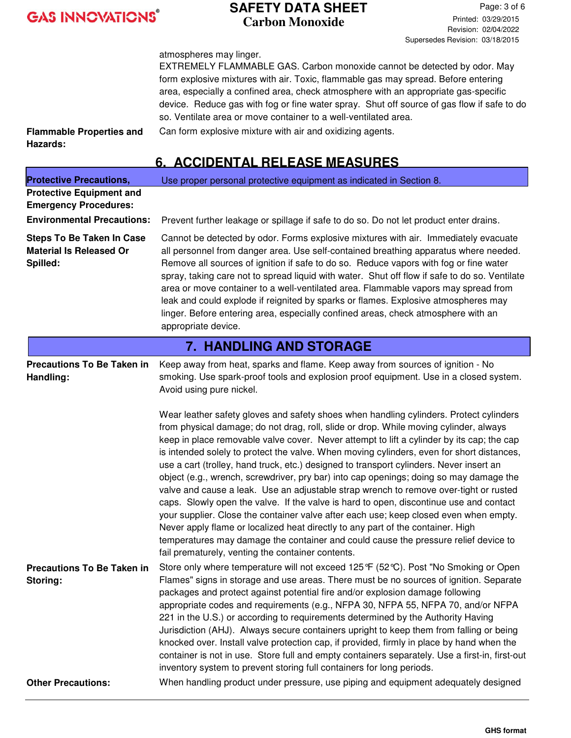#### **SAFETY DATA SHEET Carbon Monoxide**

Page: 3 of 6 Printed: 03/29/2015 Revision: 02/04/2022 Supersedes Revision: 03/18/2015

atmospheres may linger.

EXTREMELY FLAMMABLE GAS. Carbon monoxide cannot be detected by odor. May form explosive mixtures with air. Toxic, flammable gas may spread. Before entering area, especially a confined area, check atmosphere with an appropriate gas-specific device. Reduce gas with fog or fine water spray. Shut off source of gas flow if safe to do so. Ventilate area or move container to a well-ventilated area. Can form explosive mixture with air and oxidizing agents.

**Flammable Properties and Hazards:**

## **6. ACCIDENTAL RELEASE MEASURES**

| <b>Protective Precautions,</b>                                                 | Use proper personal protective equipment as indicated in Section 8.                                                                                                                                                                                                                                                                                                                                                                                                                                                                                                                                                                                                                                                                                                                                                                                                                                                                                                                                                                                                       |  |  |  |
|--------------------------------------------------------------------------------|---------------------------------------------------------------------------------------------------------------------------------------------------------------------------------------------------------------------------------------------------------------------------------------------------------------------------------------------------------------------------------------------------------------------------------------------------------------------------------------------------------------------------------------------------------------------------------------------------------------------------------------------------------------------------------------------------------------------------------------------------------------------------------------------------------------------------------------------------------------------------------------------------------------------------------------------------------------------------------------------------------------------------------------------------------------------------|--|--|--|
| <b>Protective Equipment and</b>                                                |                                                                                                                                                                                                                                                                                                                                                                                                                                                                                                                                                                                                                                                                                                                                                                                                                                                                                                                                                                                                                                                                           |  |  |  |
| <b>Emergency Procedures:</b>                                                   |                                                                                                                                                                                                                                                                                                                                                                                                                                                                                                                                                                                                                                                                                                                                                                                                                                                                                                                                                                                                                                                                           |  |  |  |
| <b>Environmental Precautions:</b>                                              | Prevent further leakage or spillage if safe to do so. Do not let product enter drains.                                                                                                                                                                                                                                                                                                                                                                                                                                                                                                                                                                                                                                                                                                                                                                                                                                                                                                                                                                                    |  |  |  |
| <b>Steps To Be Taken In Case</b><br><b>Material Is Released Or</b><br>Spilled: | Cannot be detected by odor. Forms explosive mixtures with air. Immediately evacuate<br>all personnel from danger area. Use self-contained breathing apparatus where needed.<br>Remove all sources of ignition if safe to do so. Reduce vapors with fog or fine water<br>spray, taking care not to spread liquid with water. Shut off flow if safe to do so. Ventilate<br>area or move container to a well-ventilated area. Flammable vapors may spread from<br>leak and could explode if reignited by sparks or flames. Explosive atmospheres may<br>linger. Before entering area, especially confined areas, check atmosphere with an<br>appropriate device.                                                                                                                                                                                                                                                                                                                                                                                                             |  |  |  |
|                                                                                | <b>7. HANDLING AND STORAGE</b>                                                                                                                                                                                                                                                                                                                                                                                                                                                                                                                                                                                                                                                                                                                                                                                                                                                                                                                                                                                                                                            |  |  |  |
| <b>Precautions To Be Taken in</b><br>Handling:                                 | Keep away from heat, sparks and flame. Keep away from sources of ignition - No<br>smoking. Use spark-proof tools and explosion proof equipment. Use in a closed system.<br>Avoid using pure nickel.                                                                                                                                                                                                                                                                                                                                                                                                                                                                                                                                                                                                                                                                                                                                                                                                                                                                       |  |  |  |
|                                                                                | Wear leather safety gloves and safety shoes when handling cylinders. Protect cylinders<br>from physical damage; do not drag, roll, slide or drop. While moving cylinder, always<br>keep in place removable valve cover. Never attempt to lift a cylinder by its cap; the cap<br>is intended solely to protect the valve. When moving cylinders, even for short distances,<br>use a cart (trolley, hand truck, etc.) designed to transport cylinders. Never insert an<br>object (e.g., wrench, screwdriver, pry bar) into cap openings; doing so may damage the<br>valve and cause a leak. Use an adjustable strap wrench to remove over-tight or rusted<br>caps. Slowly open the valve. If the valve is hard to open, discontinue use and contact<br>your supplier. Close the container valve after each use; keep closed even when empty.<br>Never apply flame or localized heat directly to any part of the container. High<br>temperatures may damage the container and could cause the pressure relief device to<br>fail prematurely, venting the container contents. |  |  |  |
| <b>Precautions To Be Taken in</b><br>Storing:                                  | Store only where temperature will not exceed 125 °F (52 °C). Post "No Smoking or Open<br>Flames" signs in storage and use areas. There must be no sources of ignition. Separate<br>packages and protect against potential fire and/or explosion damage following<br>appropriate codes and requirements (e.g., NFPA 30, NFPA 55, NFPA 70, and/or NFPA<br>221 in the U.S.) or according to requirements determined by the Authority Having<br>Jurisdiction (AHJ). Always secure containers upright to keep them from falling or being<br>knocked over. Install valve protection cap, if provided, firmly in place by hand when the<br>container is not in use. Store full and empty containers separately. Use a first-in, first-out<br>inventory system to prevent storing full containers for long periods.                                                                                                                                                                                                                                                               |  |  |  |
| <b>Other Precautions:</b>                                                      | When handling product under pressure, use piping and equipment adequately designed                                                                                                                                                                                                                                                                                                                                                                                                                                                                                                                                                                                                                                                                                                                                                                                                                                                                                                                                                                                        |  |  |  |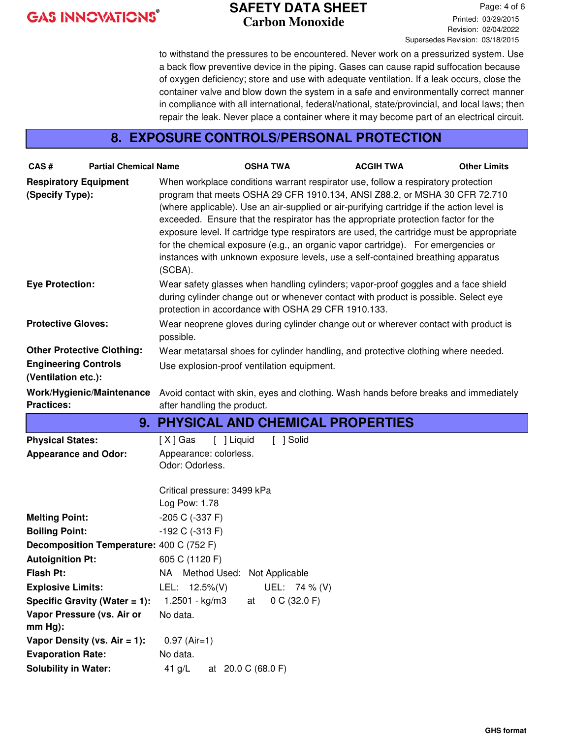#### **SAFETY DATA SHEET Carbon Monoxide**

Page: 4 of 6 Printed: 03/29/2015 Revision: 02/04/2022 Supersedes Revision: 03/18/2015

to withstand the pressures to be encountered. Never work on a pressurized system. Use a back flow preventive device in the piping. Gases can cause rapid suffocation because of oxygen deficiency; store and use with adequate ventilation. If a leak occurs, close the container valve and blow down the system in a safe and environmentally correct manner in compliance with all international, federal/national, state/provincial, and local laws; then repair the leak. Never place a container where it may become part of an electrical circuit.

#### **8. EXPOSURE CONTROLS/PERSONAL PROTECTION**

| CAS#                                            | <b>Partial Chemical Name</b>             |                                                                                                                                                                                                                                  | <b>OSHA TWA</b>    | <b>ACGIH TWA</b>                                                                                                                                                                                                                                                                                                                                                                                                                                                                                                                                                                                                        | <b>Other Limits</b> |  |
|-------------------------------------------------|------------------------------------------|----------------------------------------------------------------------------------------------------------------------------------------------------------------------------------------------------------------------------------|--------------------|-------------------------------------------------------------------------------------------------------------------------------------------------------------------------------------------------------------------------------------------------------------------------------------------------------------------------------------------------------------------------------------------------------------------------------------------------------------------------------------------------------------------------------------------------------------------------------------------------------------------------|---------------------|--|
| <b>Respiratory Equipment</b><br>(Specify Type): |                                          | (SCBA).                                                                                                                                                                                                                          |                    | When workplace conditions warrant respirator use, follow a respiratory protection<br>program that meets OSHA 29 CFR 1910.134, ANSI Z88.2, or MSHA 30 CFR 72.710<br>(where applicable). Use an air-supplied or air-purifying cartridge if the action level is<br>exceeded. Ensure that the respirator has the appropriate protection factor for the<br>exposure level. If cartridge type respirators are used, the cartridge must be appropriate<br>for the chemical exposure (e.g., an organic vapor cartridge). For emergencies or<br>instances with unknown exposure levels, use a self-contained breathing apparatus |                     |  |
| <b>Eye Protection:</b>                          |                                          | Wear safety glasses when handling cylinders; vapor-proof goggles and a face shield<br>during cylinder change out or whenever contact with product is possible. Select eye<br>protection in accordance with OSHA 29 CFR 1910.133. |                    |                                                                                                                                                                                                                                                                                                                                                                                                                                                                                                                                                                                                                         |                     |  |
| <b>Protective Gloves:</b>                       |                                          | Wear neoprene gloves during cylinder change out or wherever contact with product is<br>possible.                                                                                                                                 |                    |                                                                                                                                                                                                                                                                                                                                                                                                                                                                                                                                                                                                                         |                     |  |
|                                                 | <b>Other Protective Clothing:</b>        |                                                                                                                                                                                                                                  |                    | Wear metatarsal shoes for cylinder handling, and protective clothing where needed.                                                                                                                                                                                                                                                                                                                                                                                                                                                                                                                                      |                     |  |
| <b>Engineering Controls</b>                     |                                          | Use explosion-proof ventilation equipment.                                                                                                                                                                                       |                    |                                                                                                                                                                                                                                                                                                                                                                                                                                                                                                                                                                                                                         |                     |  |
| (Ventilation etc.):                             |                                          |                                                                                                                                                                                                                                  |                    |                                                                                                                                                                                                                                                                                                                                                                                                                                                                                                                                                                                                                         |                     |  |
|                                                 | Work/Hygienic/Maintenance                |                                                                                                                                                                                                                                  |                    | Avoid contact with skin, eyes and clothing. Wash hands before breaks and immediately                                                                                                                                                                                                                                                                                                                                                                                                                                                                                                                                    |                     |  |
| <b>Practices:</b>                               |                                          | after handling the product.                                                                                                                                                                                                      |                    |                                                                                                                                                                                                                                                                                                                                                                                                                                                                                                                                                                                                                         |                     |  |
|                                                 |                                          |                                                                                                                                                                                                                                  |                    | 9. PHYSICAL AND CHEMICAL PROPERTIES                                                                                                                                                                                                                                                                                                                                                                                                                                                                                                                                                                                     |                     |  |
| <b>Physical States:</b>                         |                                          | [ ] Liquid<br>$[X]$ Gas                                                                                                                                                                                                          | [ ] Solid          |                                                                                                                                                                                                                                                                                                                                                                                                                                                                                                                                                                                                                         |                     |  |
| <b>Appearance and Odor:</b>                     |                                          | Appearance: colorless.                                                                                                                                                                                                           |                    |                                                                                                                                                                                                                                                                                                                                                                                                                                                                                                                                                                                                                         |                     |  |
|                                                 |                                          | Odor: Odorless.                                                                                                                                                                                                                  |                    |                                                                                                                                                                                                                                                                                                                                                                                                                                                                                                                                                                                                                         |                     |  |
|                                                 |                                          | Critical pressure: 3499 kPa                                                                                                                                                                                                      |                    |                                                                                                                                                                                                                                                                                                                                                                                                                                                                                                                                                                                                                         |                     |  |
|                                                 |                                          | Log Pow: 1.78                                                                                                                                                                                                                    |                    |                                                                                                                                                                                                                                                                                                                                                                                                                                                                                                                                                                                                                         |                     |  |
| <b>Melting Point:</b>                           |                                          | $-205$ C ( $-337$ F)                                                                                                                                                                                                             |                    |                                                                                                                                                                                                                                                                                                                                                                                                                                                                                                                                                                                                                         |                     |  |
| <b>Boiling Point:</b>                           |                                          | $-192$ C $(-313)$ F)                                                                                                                                                                                                             |                    |                                                                                                                                                                                                                                                                                                                                                                                                                                                                                                                                                                                                                         |                     |  |
|                                                 | Decomposition Temperature: 400 C (752 F) |                                                                                                                                                                                                                                  |                    |                                                                                                                                                                                                                                                                                                                                                                                                                                                                                                                                                                                                                         |                     |  |
| <b>Autoignition Pt:</b>                         |                                          | 605 C (1120 F)                                                                                                                                                                                                                   |                    |                                                                                                                                                                                                                                                                                                                                                                                                                                                                                                                                                                                                                         |                     |  |
| <b>Flash Pt:</b>                                |                                          | NA Method Used: Not Applicable                                                                                                                                                                                                   |                    |                                                                                                                                                                                                                                                                                                                                                                                                                                                                                                                                                                                                                         |                     |  |
| <b>Explosive Limits:</b>                        |                                          | LEL: $12.5\%(V)$                                                                                                                                                                                                                 | UEL: 74 % (V)      |                                                                                                                                                                                                                                                                                                                                                                                                                                                                                                                                                                                                                         |                     |  |
|                                                 | Specific Gravity (Water = 1):            | 1.2501 - kg/m3                                                                                                                                                                                                                   | 0 C (32.0 F)<br>at |                                                                                                                                                                                                                                                                                                                                                                                                                                                                                                                                                                                                                         |                     |  |
| $mm Hg$ :                                       | Vapor Pressure (vs. Air or               | No data.                                                                                                                                                                                                                         |                    |                                                                                                                                                                                                                                                                                                                                                                                                                                                                                                                                                                                                                         |                     |  |
|                                                 | Vapor Density (vs. $Air = 1$ ):          | $0.97$ (Air=1)                                                                                                                                                                                                                   |                    |                                                                                                                                                                                                                                                                                                                                                                                                                                                                                                                                                                                                                         |                     |  |
| <b>Evaporation Rate:</b>                        |                                          | No data.                                                                                                                                                                                                                         |                    |                                                                                                                                                                                                                                                                                                                                                                                                                                                                                                                                                                                                                         |                     |  |
| <b>Solubility in Water:</b>                     |                                          | 41 $g/L$                                                                                                                                                                                                                         | at 20.0 C (68.0 F) |                                                                                                                                                                                                                                                                                                                                                                                                                                                                                                                                                                                                                         |                     |  |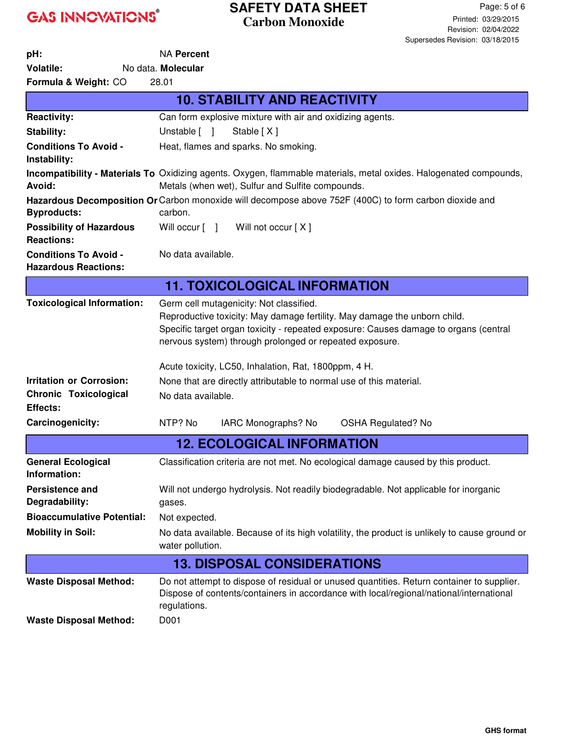## **SAFETY DATA SHEET Carbon Monoxide**

| pH:                                                            | <b>NA Percent</b>                                                                                                                                                                                                                                                                                                               |  |  |
|----------------------------------------------------------------|---------------------------------------------------------------------------------------------------------------------------------------------------------------------------------------------------------------------------------------------------------------------------------------------------------------------------------|--|--|
| <b>Volatile:</b>                                               | No data. Molecular                                                                                                                                                                                                                                                                                                              |  |  |
| Formula & Weight: CO                                           | 28.01                                                                                                                                                                                                                                                                                                                           |  |  |
|                                                                | <b>10. STABILITY AND REACTIVITY</b>                                                                                                                                                                                                                                                                                             |  |  |
| <b>Reactivity:</b>                                             | Can form explosive mixture with air and oxidizing agents.                                                                                                                                                                                                                                                                       |  |  |
| Stability:                                                     | Unstable [ ]<br>Stable [X]                                                                                                                                                                                                                                                                                                      |  |  |
| <b>Conditions To Avoid -</b><br>Instability:                   | Heat, flames and sparks. No smoking.                                                                                                                                                                                                                                                                                            |  |  |
| Avoid:                                                         | Incompatibility - Materials To Oxidizing agents. Oxygen, flammable materials, metal oxides. Halogenated compounds,<br>Metals (when wet), Sulfur and Sulfite compounds.                                                                                                                                                          |  |  |
| <b>Byproducts:</b>                                             | Hazardous Decomposition Or Carbon monoxide will decompose above 752F (400C) to form carbon dioxide and<br>carbon.                                                                                                                                                                                                               |  |  |
| <b>Possibility of Hazardous</b><br><b>Reactions:</b>           | Will occur [ ] Will not occur [X]                                                                                                                                                                                                                                                                                               |  |  |
| <b>Conditions To Avoid -</b><br><b>Hazardous Reactions:</b>    | No data available.                                                                                                                                                                                                                                                                                                              |  |  |
| <b>11. TOXICOLOGICAL INFORMATION</b>                           |                                                                                                                                                                                                                                                                                                                                 |  |  |
| <b>Toxicological Information:</b>                              | Germ cell mutagenicity: Not classified.<br>Reproductive toxicity: May damage fertility. May damage the unborn child.<br>Specific target organ toxicity - repeated exposure: Causes damage to organs (central<br>nervous system) through prolonged or repeated exposure.<br>Acute toxicity, LC50, Inhalation, Rat, 1800ppm, 4 H. |  |  |
| <b>Irritation or Corrosion:</b>                                | None that are directly attributable to normal use of this material.                                                                                                                                                                                                                                                             |  |  |
| <b>Chronic Toxicological</b>                                   | No data available.                                                                                                                                                                                                                                                                                                              |  |  |
| Effects:<br>Carcinogenicity:                                   | NTP? No<br>IARC Monographs? No<br><b>OSHA Regulated? No</b>                                                                                                                                                                                                                                                                     |  |  |
|                                                                | <b>12. ECOLOGICAL INFORMATION</b>                                                                                                                                                                                                                                                                                               |  |  |
|                                                                |                                                                                                                                                                                                                                                                                                                                 |  |  |
| <b>General Ecological</b><br>Information:                      | Classification criteria are not met. No ecological damage caused by this product.                                                                                                                                                                                                                                               |  |  |
| <b>Persistence and</b><br>Degradability:                       | Will not undergo hydrolysis. Not readily biodegradable. Not applicable for inorganic<br>gases.                                                                                                                                                                                                                                  |  |  |
| <b>Bioaccumulative Potential:</b>                              | Not expected.                                                                                                                                                                                                                                                                                                                   |  |  |
| <b>Mobility in Soil:</b>                                       | No data available. Because of its high volatility, the product is unlikely to cause ground or<br>water pollution.                                                                                                                                                                                                               |  |  |
| <b>13. DISPOSAL CONSIDERATIONS</b>                             |                                                                                                                                                                                                                                                                                                                                 |  |  |
| <b>Waste Disposal Method:</b><br><b>Waste Disposal Method:</b> | Do not attempt to dispose of residual or unused quantities. Return container to supplier.<br>Dispose of contents/containers in accordance with local/regional/national/international<br>regulations.<br>D001                                                                                                                    |  |  |
|                                                                |                                                                                                                                                                                                                                                                                                                                 |  |  |